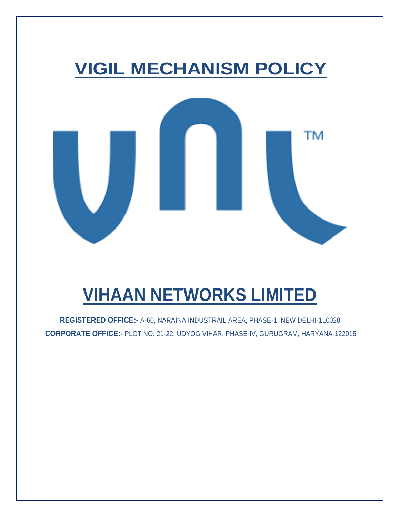

# **VIHAAN NETWORKS LIMITED**

**REGISTERED OFFICE:-** A-60, NARAINA INDUSTRAIL AREA, PHASE-1, NEW DELHI-110028 **CORPORATE OFFICE:-** PLOT NO. 21-22, UDYOG VIHAR, PHASE-IV, GURUGRAM, HARYANA-122015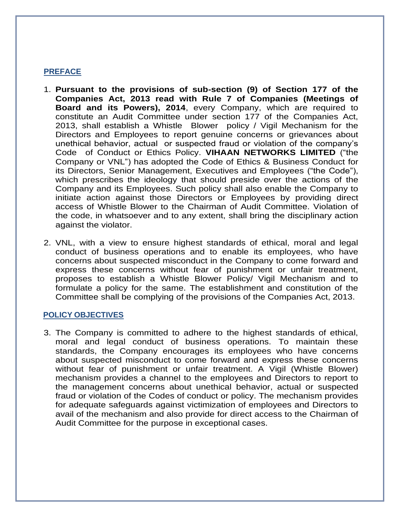# **PREFACE**

- 1. **Pursuant to the provisions of sub-section (9) of Section 177 of the Companies Act, 2013 read with Rule 7 of Companies (Meetings of Board and its Powers), 2014**, every Company, which are required to constitute an Audit Committee under section 177 of the Companies Act, 2013, shall establish a Whistle Blower policy / Vigil Mechanism for the Directors and Employees to report genuine concerns or grievances about unethical behavior, actual or suspected fraud or violation of the company's Code of Conduct or Ethics Policy. **VIHAAN NETWORKS LIMITED** ("the Company or VNL") has adopted the Code of Ethics & Business Conduct for its Directors, Senior Management, Executives and Employees ("the Code"), which prescribes the ideology that should preside over the actions of the Company and its Employees. Such policy shall also enable the Company to initiate action against those Directors or Employees by providing direct access of Whistle Blower to the Chairman of Audit Committee. Violation of the code, in whatsoever and to any extent, shall bring the disciplinary action against the violator.
- 2. VNL, with a view to ensure highest standards of ethical, moral and legal conduct of business operations and to enable its employees, who have concerns about suspected misconduct in the Company to come forward and express these concerns without fear of punishment or unfair treatment, proposes to establish a Whistle Blower Policy/ Vigil Mechanism and to formulate a policy for the same. The establishment and constitution of the Committee shall be complying of the provisions of the Companies Act, 2013.

## **POLICY OBJECTIVES**

3. The Company is committed to adhere to the highest standards of ethical, moral and legal conduct of business operations. To maintain these standards, the Company encourages its employees who have concerns about suspected misconduct to come forward and express these concerns without fear of punishment or unfair treatment. A Vigil (Whistle Blower) mechanism provides a channel to the employees and Directors to report to the management concerns about unethical behavior, actual or suspected fraud or violation of the Codes of conduct or policy. The mechanism provides for adequate safeguards against victimization of employees and Directors to avail of the mechanism and also provide for direct access to the Chairman of Audit Committee for the purpose in exceptional cases.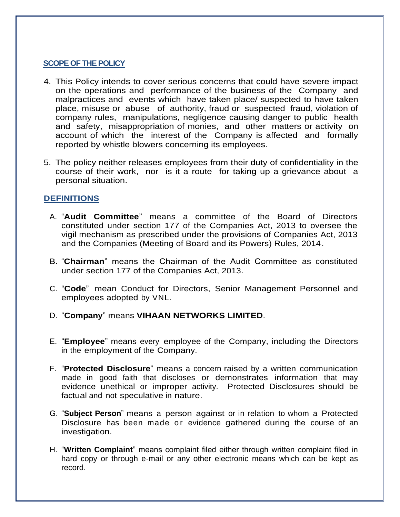## **SCOPE OF THE POLICY**

- 4. This Policy intends to cover serious concerns that could have severe impact on the operations and performance of the business of the Company and malpractices and events which have taken place/ suspected to have taken place, misuse or abuse of authority, fraud or suspected fraud, violation of company rules, manipulations, negligence causing danger to public health and safety, misappropriation of monies, and other matters or activity on account of which the interest of the Company is affected and formally reported by whistle blowers concerning its employees.
- 5. The policy neither releases employees from their duty of confidentiality in the course of their work, nor is it a route for taking up a grievance about a personal situation.

# **DEFINITIONS**

- A. "**Audit Committee**" means a committee of the Board of Directors constituted under section 177 of the Companies Act, 2013 to oversee the vigil mechanism as prescribed under the provisions of Companies Act, 2013 and the Companies (Meeting of Board and its Powers) Rules, 2014.
- B. "**Chairman**" means the Chairman of the Audit Committee as constituted under section 177 of the Companies Act, 2013.
- C. "**Code**" mean Conduct for Directors, Senior Management Personnel and employees adopted by VNL.
- D. "**Company**" means **VIHAAN NETWORKS LIMITED**.
- E. "**Employee**" means every employee of the Company, including the Directors in the employment of the Company.
- F. "**Protected Disclosure**" means a concern raised by a written communication made in good faith that discloses or demonstrates information that may evidence unethical or improper activity. Protected Disclosures should be factual and not speculative in nature.
- G. "**Subject Person**" means a person against or in relation to whom a Protected Disclosure has been made or evidence gathered during the course of an investigation.
- H. "**Written Complaint**" means complaint filed either through written complaint filed in hard copy or through e-mail or any other electronic means which can be kept as record.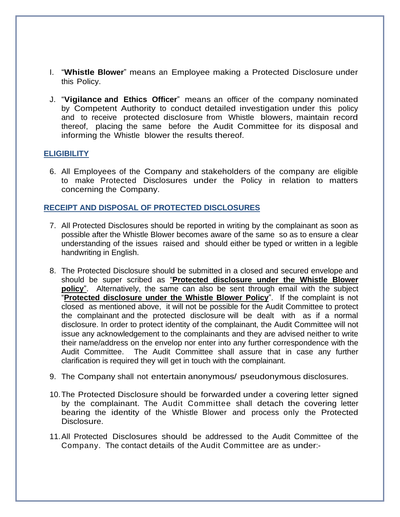- I. "**Whistle Blower**" means an Employee making a Protected Disclosure under this Policy.
- J. "**Vigilance and Ethics Officer**" means an officer of the company nominated by Competent Authority to conduct detailed investigation under this policy and to receive protected disclosure from Whistle blowers, maintain record thereof, placing the same before the Audit Committee for its disposal and informing the Whistle blower the results thereof.

## **ELIGIBILITY**

6. All Employees of the Company and stakeholders of the company are eligible to make Protected Disclosures under the Policy in relation to matters concerning the Company.

## **RECEIPT AND DISPOSAL OF PROTECTED DISCLOSURES**

- 7. All Protected Disclosures should be reported in writing by the complainant as soon as possible after the Whistle Blower becomes aware of the same so as to ensure a clear understanding of the issues raised and should either be typed or written in a legible handwriting in English.
- 8. The Protected Disclosure should be submitted in a closed and secured envelope and should be super scribed as "**Protected disclosure under the Whistle Blower policy**". Alternatively, the same can also be sent through email with the subject "**Protected disclosure under the Whistle Blower Policy**". If the complaint is not closed as mentioned above, it will not be possible for the Audit Committee to protect the complainant and the protected disclosure will be dealt with as if a normal disclosure. In order to protect identity of the complainant, the Audit Committee will not issue any acknowledgement to the complainants and they are advised neither to write their name/address on the envelop nor enter into any further correspondence with the Audit Committee. The Audit Committee shall assure that in case any further clarification is required they will get in touch with the complainant.
- 9. The Company shall not entertain anonymous/ pseudonymous disclosures.
- 10.The Protected Disclosure should be forwarded under a covering letter signed by the complainant. The Audit Committee shall detach the covering letter bearing the identity of the Whistle Blower and process only the Protected Disclosure.
- 11.All Protected Disclosures should be addressed to the Audit Committee of the Company. The contact details of the Audit Committee are as under:-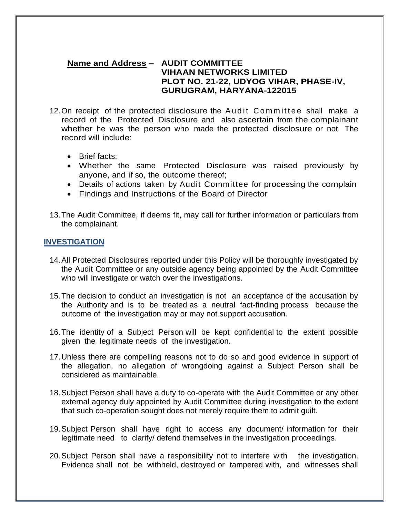## **Name and Address – AUDIT COMMITTEE VIHAAN NETWORKS LIMITED PLOT NO. 21-22, UDYOG VIHAR, PHASE-IV, GURUGRAM, HARYANA-122015**

- 12. On receipt of the protected disclosure the Audit Committee shall make a record of the Protected Disclosure and also ascertain from the complainant whether he was the person who made the protected disclosure or not. The record will include:
	- Brief facts;
	- Whether the same Protected Disclosure was raised previously by anyone, and if so, the outcome thereof;
	- Details of actions taken by Audit Committee for processing the complain
	- Findings and Instructions of the Board of Director
- 13.The Audit Committee, if deems fit, may call for further information or particulars from the complainant.

### **INVESTIGATION**

- 14.All Protected Disclosures reported under this Policy will be thoroughly investigated by the Audit Committee or any outside agency being appointed by the Audit Committee who will investigate or watch over the investigations.
- 15.The decision to conduct an investigation is not an acceptance of the accusation by the Authority and is to be treated as a neutral fact-finding process because the outcome of the investigation may or may not support accusation.
- 16.The identity of a Subject Person will be kept confidential to the extent possible given the legitimate needs of the investigation.
- 17.Unless there are compelling reasons not to do so and good evidence in support of the allegation, no allegation of wrongdoing against a Subject Person shall be considered as maintainable.
- 18.Subject Person shall have a duty to co-operate with the Audit Committee or any other external agency duly appointed by Audit Committee during investigation to the extent that such co-operation sought does not merely require them to admit guilt.
- 19.Subject Person shall have right to access any document/ information for their legitimate need to clarify/ defend themselves in the investigation proceedings.
- 20.Subject Person shall have a responsibility not to interfere with the investigation. Evidence shall not be withheld, destroyed or tampered with, and witnesses shall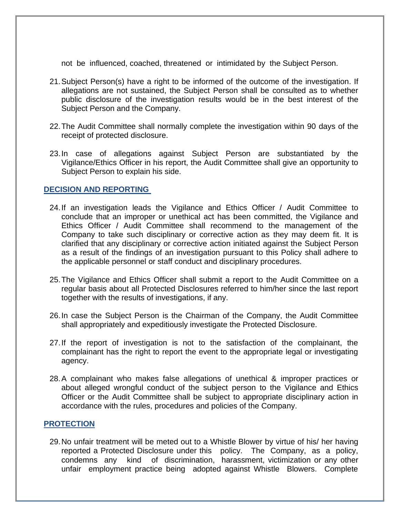not be influenced, coached, threatened or intimidated by the Subject Person.

- 21.Subject Person(s) have a right to be informed of the outcome of the investigation. If allegations are not sustained, the Subject Person shall be consulted as to whether public disclosure of the investigation results would be in the best interest of the Subject Person and the Company.
- 22.The Audit Committee shall normally complete the investigation within 90 days of the receipt of protected disclosure.
- 23.In case of allegations against Subject Person are substantiated by the Vigilance/Ethics Officer in his report, the Audit Committee shall give an opportunity to Subject Person to explain his side.

## **DECISION AND REPORTING**

- 24.If an investigation leads the Vigilance and Ethics Officer / Audit Committee to conclude that an improper or unethical act has been committed, the Vigilance and Ethics Officer / Audit Committee shall recommend to the management of the Company to take such disciplinary or corrective action as they may deem fit. It is clarified that any disciplinary or corrective action initiated against the Subject Person as a result of the findings of an investigation pursuant to this Policy shall adhere to the applicable personnel or staff conduct and disciplinary procedures.
- 25.The Vigilance and Ethics Officer shall submit a report to the Audit Committee on a regular basis about all Protected Disclosures referred to him/her since the last report together with the results of investigations, if any.
- 26.In case the Subject Person is the Chairman of the Company, the Audit Committee shall appropriately and expeditiously investigate the Protected Disclosure.
- 27.If the report of investigation is not to the satisfaction of the complainant, the complainant has the right to report the event to the appropriate legal or investigating agency.
- 28.A complainant who makes false allegations of unethical & improper practices or about alleged wrongful conduct of the subject person to the Vigilance and Ethics Officer or the Audit Committee shall be subject to appropriate disciplinary action in accordance with the rules, procedures and policies of the Company.

## **PROTECTION**

29.No unfair treatment will be meted out to a Whistle Blower by virtue of his/ her having reported a Protected Disclosure under this policy. The Company, as a policy, condemns any kind of discrimination, harassment, victimization or any other unfair employment practice being adopted against Whistle Blowers. Complete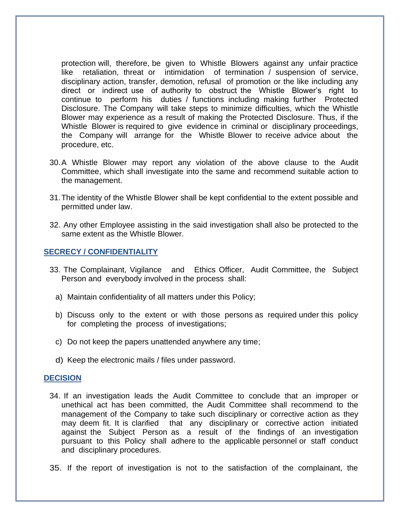protection will, therefore, be given to Whistle Blowers against any unfair practice like retaliation, threat or intimidation of termination / suspension of service, disciplinary action, transfer, demotion, refusal of promotion or the like including any direct or indirect use of authority to obstruct the Whistle Blower's right to continue to perform his duties / functions including making further Protected Disclosure. The Company will take steps to minimize difficulties, which the Whistle Blower may experience as a result of making the Protected Disclosure. Thus, if the Whistle Blower is required to give evidence in criminal or disciplinary proceedings, the Company will arrange for the Whistle Blower to receive advice about the procedure, etc.

- 30.A Whistle Blower may report any violation of the above clause to the Audit Committee, which shall investigate into the same and recommend suitable action to the management.
- 31.The identity of the Whistle Blower shall be kept confidential to the extent possible and permitted under law.
- 32. Any other Employee assisting in the said investigation shall also be protected to the same extent as the Whistle Blower.

### **SECRECY / CONFIDENTIALITY**

- 33. The Complainant, Vigilance and Ethics Officer, Audit Committee, the Subject Person and everybody involved in the process shall:
	- a) Maintain confidentiality of all matters under this Policy;
	- b) Discuss only to the extent or with those persons as required under this policy for completing the process of investigations;
	- c) Do not keep the papers unattended anywhere any time;
	- d) Keep the electronic mails / files under password.

#### **DECISION**

- 34. If an investigation leads the Audit Committee to conclude that an improper or unethical act has been committed, the Audit Committee shall recommend to the management of the Company to take such disciplinary or corrective action as they may deem fit. It is clarified that any disciplinary or corrective action initiated against the Subject Person as a result of the findings of an investigation pursuant to this Policy shall adhere to the applicable personnel or staff conduct and disciplinary procedures.
- 35. If the report of investigation is not to the satisfaction of the complainant, the